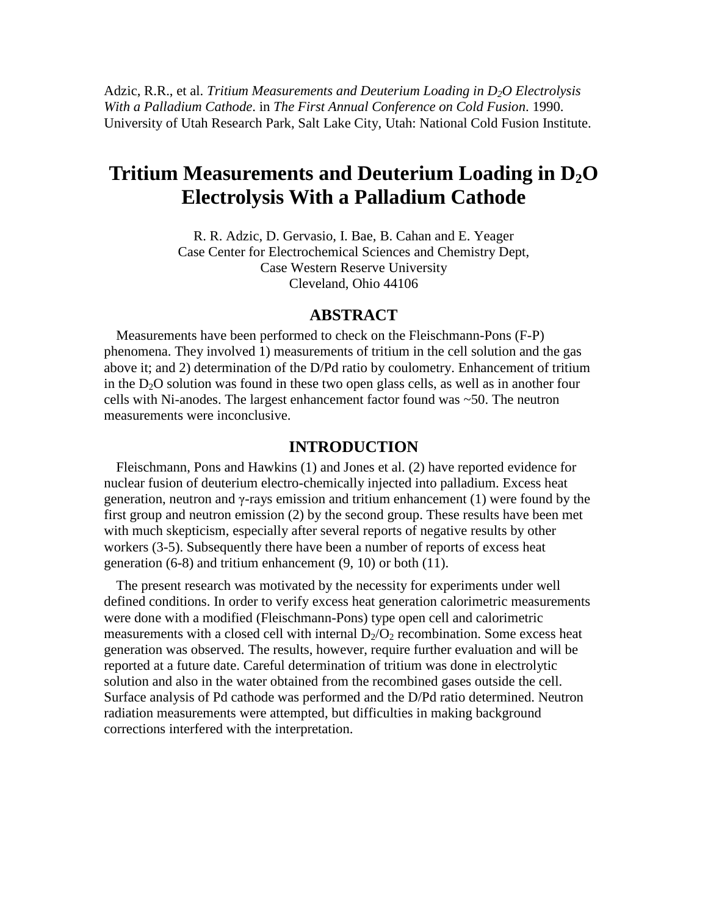Adzic, R.R., et al. *Tritium Measurements and Deuterium Loading in D2O Electrolysis With a Palladium Cathode*. in *The First Annual Conference on Cold Fusion*. 1990. University of Utah Research Park, Salt Lake City, Utah: National Cold Fusion Institute.

# **Tritium Measurements and Deuterium Loading in D2O Electrolysis With a Palladium Cathode**

R. R. Adzic, D. Gervasio, I. Bae, B. Cahan and E. Yeager Case Center for Electrochemical Sciences and Chemistry Dept, Case Western Reserve University Cleveland, Ohio 44106

### **ABSTRACT**

Measurements have been performed to check on the Fleischmann-Pons (F-P) phenomena. They involved 1) measurements of tritium in the cell solution and the gas above it; and 2) determination of the D/Pd ratio by coulometry. Enhancement of tritium in the  $D_2O$  solution was found in these two open glass cells, as well as in another four cells with Ni-anodes. The largest enhancement factor found was ~50. The neutron measurements were inconclusive.

### **INTRODUCTION**

Fleischmann, Pons and Hawkins (1) and Jones et al. (2) have reported evidence for nuclear fusion of deuterium electro-chemically injected into palladium. Excess heat generation, neutron and γ-rays emission and tritium enhancement (1) were found by the first group and neutron emission (2) by the second group. These results have been met with much skepticism, especially after several reports of negative results by other workers (3-5). Subsequently there have been a number of reports of excess heat generation (6-8) and tritium enhancement (9, 10) or both (11).

The present research was motivated by the necessity for experiments under well defined conditions. In order to verify excess heat generation calorimetric measurements were done with a modified (Fleischmann-Pons) type open cell and calorimetric measurements with a closed cell with internal  $D_2/O_2$  recombination. Some excess heat generation was observed. The results, however, require further evaluation and will be reported at a future date. Careful determination of tritium was done in electrolytic solution and also in the water obtained from the recombined gases outside the cell. Surface analysis of Pd cathode was performed and the D/Pd ratio determined. Neutron radiation measurements were attempted, but difficulties in making background corrections interfered with the interpretation.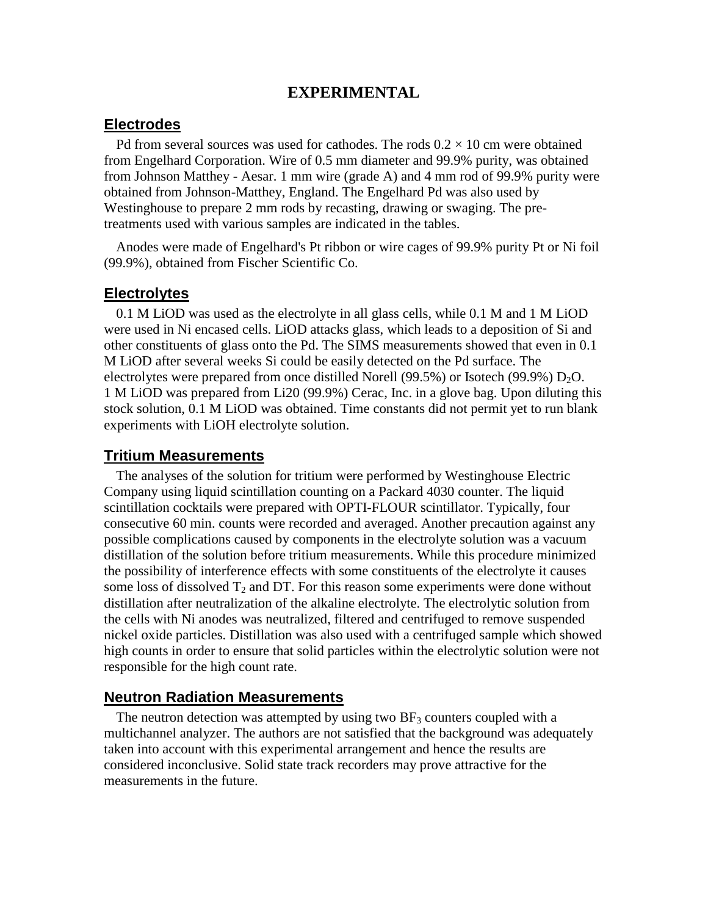# **EXPERIMENTAL**

# **Electrodes**

Pd from several sources was used for cathodes. The rods  $0.2 \times 10$  cm were obtained from Engelhard Corporation. Wire of 0.5 mm diameter and 99.9% purity, was obtained from Johnson Matthey - Aesar. 1 mm wire (grade A) and 4 mm rod of 99.9% purity were obtained from Johnson-Matthey, England. The Engelhard Pd was also used by Westinghouse to prepare 2 mm rods by recasting, drawing or swaging. The pretreatments used with various samples are indicated in the tables.

Anodes were made of Engelhard's Pt ribbon or wire cages of 99.9% purity Pt or Ni foil (99.9%), obtained from Fischer Scientific Co.

#### **Electrolytes**

0.1 M LiOD was used as the electrolyte in all glass cells, while 0.1 M and 1 M LiOD were used in Ni encased cells. LiOD attacks glass, which leads to a deposition of Si and other constituents of glass onto the Pd. The SIMS measurements showed that even in 0.1 M LiOD after several weeks Si could be easily detected on the Pd surface. The electrolytes were prepared from once distilled Norell (99.5%) or Isotech (99.9%)  $D_2O$ . 1 M LiOD was prepared from Li20 (99.9%) Cerac, Inc. in a glove bag. Upon diluting this stock solution, 0.1 M LiOD was obtained. Time constants did not permit yet to run blank experiments with LiOH electrolyte solution.

#### **Tritium Measurements**

The analyses of the solution for tritium were performed by Westinghouse Electric Company using liquid scintillation counting on a Packard 4030 counter. The liquid scintillation cocktails were prepared with OPTI-FLOUR scintillator. Typically, four consecutive 60 min. counts were recorded and averaged. Another precaution against any possible complications caused by components in the electrolyte solution was a vacuum distillation of the solution before tritium measurements. While this procedure minimized the possibility of interference effects with some constituents of the electrolyte it causes some loss of dissolved  $T_2$  and DT. For this reason some experiments were done without distillation after neutralization of the alkaline electrolyte. The electrolytic solution from the cells with Ni anodes was neutralized, filtered and centrifuged to remove suspended nickel oxide particles. Distillation was also used with a centrifuged sample which showed high counts in order to ensure that solid particles within the electrolytic solution were not responsible for the high count rate.

#### **Neutron Radiation Measurements**

The neutron detection was attempted by using two  $BF<sub>3</sub>$  counters coupled with a multichannel analyzer. The authors are not satisfied that the background was adequately taken into account with this experimental arrangement and hence the results are considered inconclusive. Solid state track recorders may prove attractive for the measurements in the future.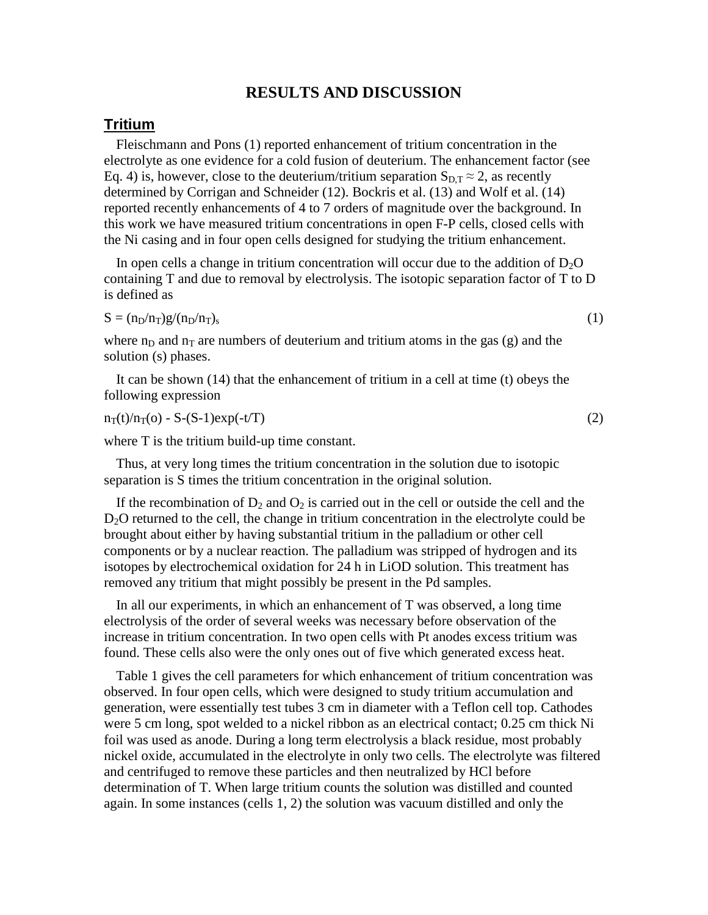# **RESULTS AND DISCUSSION**

### **Tritium**

Fleischmann and Pons (1) reported enhancement of tritium concentration in the electrolyte as one evidence for a cold fusion of deuterium. The enhancement factor (see Eq. 4) is, however, close to the deuterium/tritium separation  $S_{D,T} \approx 2$ , as recently determined by Corrigan and Schneider (12). Bockris et al. (13) and Wolf et al. (14) reported recently enhancements of 4 to 7 orders of magnitude over the background. In this work we have measured tritium concentrations in open F-P cells, closed cells with the Ni casing and in four open cells designed for studying the tritium enhancement.

In open cells a change in tritium concentration will occur due to the addition of  $D_2O$ containing T and due to removal by electrolysis. The isotopic separation factor of T to D is defined as

$$
S = (n_D/n_T)g/(n_D/n_T)_{s}
$$
 (1)

where  $n_D$  and  $n_T$  are numbers of deuterium and tritium atoms in the gas (g) and the solution (s) phases.

It can be shown (14) that the enhancement of tritium in a cell at time (t) obeys the following expression

 $n_T(t)/n_T(o) - S-(S-1)exp(-t/T)$  (2)

where T is the tritium build-up time constant.

Thus, at very long times the tritium concentration in the solution due to isotopic separation is S times the tritium concentration in the original solution.

If the recombination of  $D_2$  and  $O_2$  is carried out in the cell or outside the cell and the D<sub>2</sub>O returned to the cell, the change in tritium concentration in the electrolyte could be brought about either by having substantial tritium in the palladium or other cell components or by a nuclear reaction. The palladium was stripped of hydrogen and its isotopes by electrochemical oxidation for 24 h in LiOD solution. This treatment has removed any tritium that might possibly be present in the Pd samples.

In all our experiments, in which an enhancement of T was observed, a long time electrolysis of the order of several weeks was necessary before observation of the increase in tritium concentration. In two open cells with Pt anodes excess tritium was found. These cells also were the only ones out of five which generated excess heat.

Table 1 gives the cell parameters for which enhancement of tritium concentration was observed. In four open cells, which were designed to study tritium accumulation and generation, were essentially test tubes 3 cm in diameter with a Teflon cell top. Cathodes were 5 cm long, spot welded to a nickel ribbon as an electrical contact; 0.25 cm thick Ni foil was used as anode. During a long term electrolysis a black residue, most probably nickel oxide, accumulated in the electrolyte in only two cells. The electrolyte was filtered and centrifuged to remove these particles and then neutralized by HCl before determination of T. When large tritium counts the solution was distilled and counted again. In some instances (cells 1, 2) the solution was vacuum distilled and only the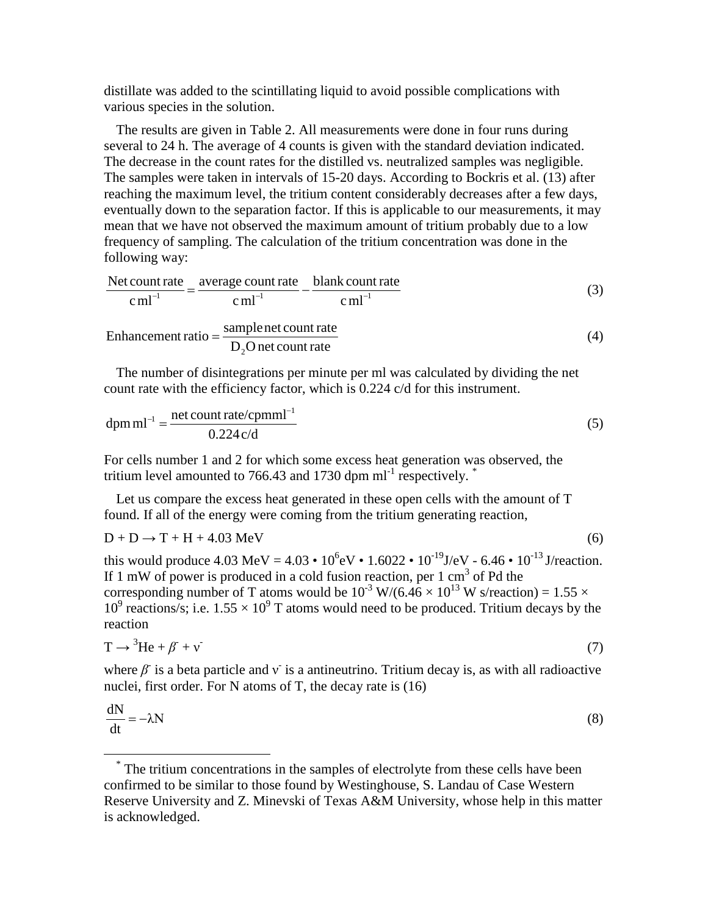distillate was added to the scintillating liquid to avoid possible complications with various species in the solution.

The results are given in Table 2. All measurements were done in four runs during several to 24 h. The average of 4 counts is given with the standard deviation indicated. The decrease in the count rates for the distilled vs. neutralized samples was negligible. The samples were taken in intervals of 15-20 days. According to Bockris et al. (13) after reaching the maximum level, the tritium content considerably decreases after a few days, eventually down to the separation factor. If this is applicable to our measurements, it may mean that we have not observed the maximum amount of tritium probably due to a low frequency of sampling. The calculation of the tritium concentration was done in the following way:

$$
\frac{\text{Net count rate}}{\text{c ml}^{-1}} = \frac{\text{average count rate}}{\text{c ml}^{-1}} - \frac{\text{blank count rate}}{\text{c ml}^{-1}} \tag{3}
$$

$$
Enhancement ratio = \frac{sample net count rate}{D_2 O net count rate}
$$
\n(4)

The number of disintegrations per minute per ml was calculated by dividing the net count rate with the efficiency factor, which is 0.224 c/d for this instrument.

$$
dpm ml^{-1} = \frac{net count rate/cpmml^{-1}}{0.224 c/d}
$$
 (5)

For cells number 1 and 2 for which some excess heat generation was observed, the tritium level amounted to 766.43 and 1730 dpm  $ml^{-1}$  respectively.<sup>[\\*](#page-3-0)</sup>

Let us compare the excess heat generated in these open cells with the amount of T found. If all of the energy were coming from the tritium generating reaction,

$$
D + D \rightarrow T + H + 4.03 \text{ MeV}
$$
 (6)

this would produce 4.03 MeV =  $4.03 \cdot 10^6$  eV  $\cdot 1.6022 \cdot 10^{-19}$  J/eV - 6.46  $\cdot 10^{-13}$  J/reaction. If 1 mW of power is produced in a cold fusion reaction, per 1 cm<sup>3</sup> of Pd the corresponding number of T atoms would be  $10^{-3}$  W/(6.46  $\times$  10<sup>13</sup> W s/reaction) = 1.55  $\times$  $10^9$  reactions/s; i.e.  $1.55 \times 10^9$  T atoms would need to be produced. Tritium decays by the reaction

$$
T \to {}^{3}He + \beta + \nu \tag{7}
$$

where  $\beta$  is a beta particle and v is a antineutrino. Tritium decay is, as with all radioactive nuclei, first order. For N atoms of T, the decay rate is (16)

$$
\frac{dN}{dt} = -\lambda N \tag{8}
$$

<span id="page-3-0"></span><sup>\*</sup> The tritium concentrations in the samples of electrolyte from these cells have been confirmed to be similar to those found by Westinghouse, S. Landau of Case Western Reserve University and Z. Minevski of Texas A&M University, whose help in this matter is acknowledged.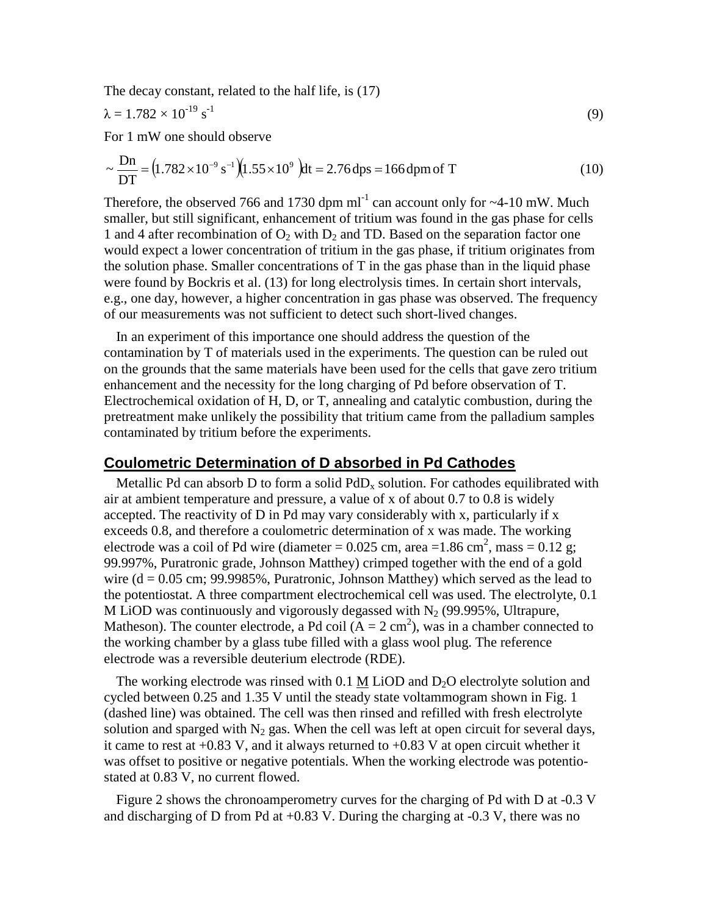The decay constant, related to the half life, is (17)

$$
\lambda = 1.782 \times 10^{-19} \,\mathrm{s}^{-1} \tag{9}
$$

For 1 mW one should observe

$$
\sim \frac{\text{Dn}}{\text{DT}} = (1.782 \times 10^{-9} \text{ s}^{-1})(1.55 \times 10^{9}) \text{dt} = 2.76 \text{ dps} = 166 \text{ dpm of T}
$$
 (10)

Therefore, the observed 766 and 1730 dpm  $ml^{-1}$  can account only for  $\sim$ 4-10 mW. Much smaller, but still significant, enhancement of tritium was found in the gas phase for cells 1 and 4 after recombination of  $O_2$  with  $D_2$  and TD. Based on the separation factor one would expect a lower concentration of tritium in the gas phase, if tritium originates from the solution phase. Smaller concentrations of T in the gas phase than in the liquid phase were found by Bockris et al. (13) for long electrolysis times. In certain short intervals, e.g., one day, however, a higher concentration in gas phase was observed. The frequency of our measurements was not sufficient to detect such short-lived changes.

In an experiment of this importance one should address the question of the contamination by T of materials used in the experiments. The question can be ruled out on the grounds that the same materials have been used for the cells that gave zero tritium enhancement and the necessity for the long charging of Pd before observation of T. Electrochemical oxidation of H, D, or T, annealing and catalytic combustion, during the pretreatment make unlikely the possibility that tritium came from the palladium samples contaminated by tritium before the experiments.

#### **Coulometric Determination of D absorbed in Pd Cathodes**

Metallic Pd can absorb D to form a solid  $PdD<sub>x</sub>$  solution. For cathodes equilibrated with air at ambient temperature and pressure, a value of x of about 0.7 to 0.8 is widely accepted. The reactivity of D in Pd may vary considerably with x, particularly if x exceeds 0.8, and therefore a coulometric determination of x was made. The working electrode was a coil of Pd wire (diameter =  $0.025$  cm, area =  $1.86$  cm<sup>2</sup>, mass =  $0.12$  g; 99.997%, Puratronic grade, Johnson Matthey) crimped together with the end of a gold wire  $(d = 0.05$  cm; 99.9985%, Puratronic, Johnson Matthey) which served as the lead to the potentiostat. A three compartment electrochemical cell was used. The electrolyte, 0.1 M LiOD was continuously and vigorously degassed with  $N<sub>2</sub>$  (99.995%, Ultrapure, Matheson). The counter electrode, a Pd coil  $(A = 2 \text{ cm}^2)$ , was in a chamber connected to the working chamber by a glass tube filled with a glass wool plug. The reference electrode was a reversible deuterium electrode (RDE).

The working electrode was rinsed with  $0.1$  M LiOD and  $D<sub>2</sub>O$  electrolyte solution and cycled between 0.25 and 1.35 V until the steady state voltammogram shown in Fig. 1 (dashed line) was obtained. The cell was then rinsed and refilled with fresh electrolyte solution and sparged with  $N_2$  gas. When the cell was left at open circuit for several days, it came to rest at  $+0.83$  V, and it always returned to  $+0.83$  V at open circuit whether it was offset to positive or negative potentials. When the working electrode was potentiostated at 0.83 V, no current flowed.

Figure 2 shows the chronoamperometry curves for the charging of Pd with D at -0.3 V and discharging of D from Pd at  $+0.83$  V. During the charging at  $-0.3$  V, there was no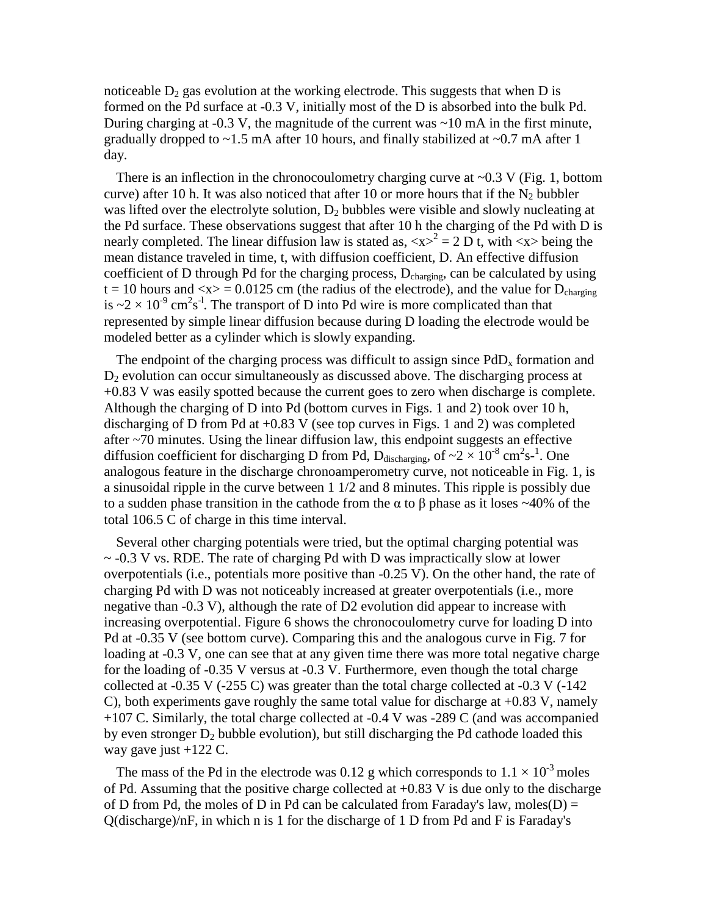noticeable  $D_2$  gas evolution at the working electrode. This suggests that when D is formed on the Pd surface at -0.3 V, initially most of the D is absorbed into the bulk Pd. During charging at  $-0.3$  V, the magnitude of the current was  $\sim 10$  mA in the first minute, gradually dropped to  $\sim$ 1.5 mA after 10 hours, and finally stabilized at  $\sim$ 0.7 mA after 1 day.

There is an inflection in the chronocoulometry charging curve at  $\sim 0.3$  V (Fig. 1, bottom curve) after 10 h. It was also noticed that after 10 or more hours that if the  $N_2$  bubbler was lifted over the electrolyte solution,  $D_2$  bubbles were visible and slowly nucleating at the Pd surface. These observations suggest that after 10 h the charging of the Pd with D is nearly completed. The linear diffusion law is stated as,  $\langle x \rangle^2 = 2 D t$ , with  $\langle x \rangle$  being the mean distance traveled in time, t, with diffusion coefficient, D. An effective diffusion coefficient of D through Pd for the charging process, D<sub>charging</sub>, can be calculated by using  $t = 10$  hours and  $\langle x \rangle = 0.0125$  cm (the radius of the electrode), and the value for  $D_{\text{charging}}$ is  $\approx 2 \times 10^{-9}$  cm<sup>2</sup>s<sup>-1</sup>. The transport of D into Pd wire is more complicated than that represented by simple linear diffusion because during D loading the electrode would be modeled better as a cylinder which is slowly expanding.

The endpoint of the charging process was difficult to assign since  $PdD<sub>x</sub>$  formation and  $D_2$  evolution can occur simultaneously as discussed above. The discharging process at +0.83 V was easily spotted because the current goes to zero when discharge is complete. Although the charging of D into Pd (bottom curves in Figs. 1 and 2) took over 10 h, discharging of D from Pd at +0.83 V (see top curves in Figs. 1 and 2) was completed after ~70 minutes. Using the linear diffusion law, this endpoint suggests an effective diffusion coefficient for discharging D from Pd,  $D_{discharging}$ , of  $\sim 2 \times 10^{-8}$  cm<sup>2</sup>s<sup>-1</sup>. One analogous feature in the discharge chronoamperometry curve, not noticeable in Fig. 1, is a sinusoidal ripple in the curve between 1 1/2 and 8 minutes. This ripple is possibly due to a sudden phase transition in the cathode from the α to β phase as it loses  $~40\%$  of the total 106.5 C of charge in this time interval.

Several other charging potentials were tried, but the optimal charging potential was  $\sim$  -0.3 V vs. RDE. The rate of charging Pd with D was impractically slow at lower overpotentials (i.e., potentials more positive than -0.25 V). On the other hand, the rate of charging Pd with D was not noticeably increased at greater overpotentials (i.e., more negative than -0.3 V), although the rate of D2 evolution did appear to increase with increasing overpotential. Figure 6 shows the chronocoulometry curve for loading D into Pd at -0.35 V (see bottom curve). Comparing this and the analogous curve in Fig. 7 for loading at -0.3 V, one can see that at any given time there was more total negative charge for the loading of -0.35 V versus at -0.3 V. Furthermore, even though the total charge collected at -0.35 V (-255 C) was greater than the total charge collected at -0.3 V (-142 C), both experiments gave roughly the same total value for discharge at +0.83 V, namely +107 C. Similarly, the total charge collected at -0.4 V was -289 C (and was accompanied by even stronger  $D_2$  bubble evolution), but still discharging the Pd cathode loaded this way gave just +122 C.

The mass of the Pd in the electrode was 0.12 g which corresponds to  $1.1 \times 10^{-3}$  moles of Pd. Assuming that the positive charge collected at +0.83 V is due only to the discharge of D from Pd, the moles of D in Pd can be calculated from Faraday's law, moles  $(D)$  = Q(discharge)/nF, in which n is 1 for the discharge of 1 D from Pd and F is Faraday's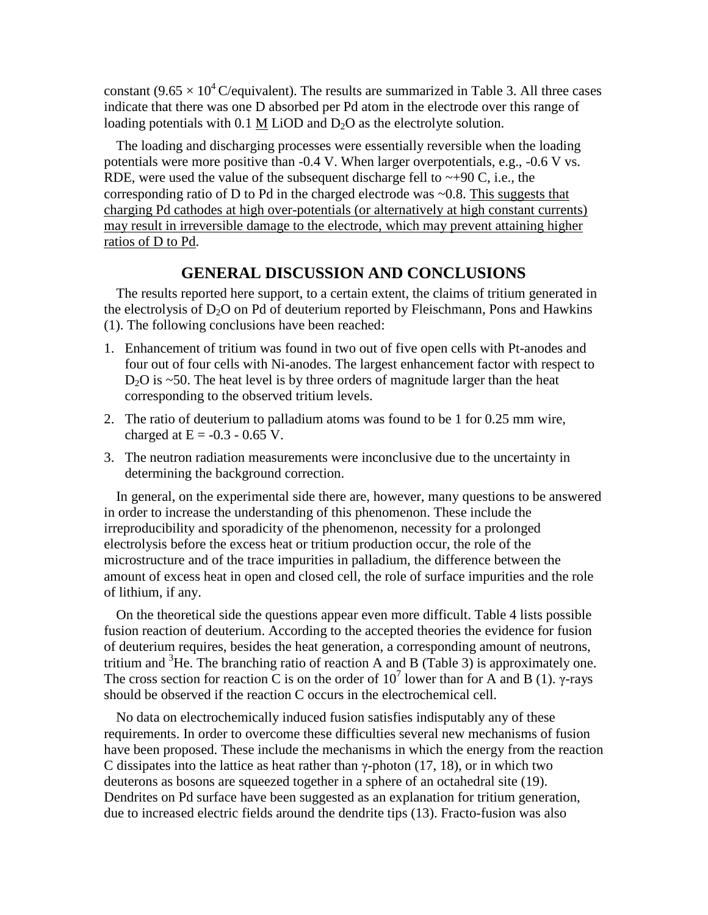constant (9.65  $\times$  10<sup>4</sup> C/equivalent). The results are summarized in Table 3. All three cases indicate that there was one D absorbed per Pd atom in the electrode over this range of loading potentials with  $0.1$  M LiOD and  $D<sub>2</sub>O$  as the electrolyte solution.

The loading and discharging processes were essentially reversible when the loading potentials were more positive than -0.4 V. When larger overpotentials, e.g., -0.6 V vs. RDE, were used the value of the subsequent discharge fell to  $\sim +90$  C, i.e., the corresponding ratio of D to Pd in the charged electrode was ~0.8. This suggests that charging Pd cathodes at high over-potentials (or alternatively at high constant currents) may result in irreversible damage to the electrode, which may prevent attaining higher ratios of D to Pd.

# **GENERAL DISCUSSION AND CONCLUSIONS**

The results reported here support, to a certain extent, the claims of tritium generated in the electrolysis of  $D_2O$  on Pd of deuterium reported by Fleischmann, Pons and Hawkins (1). The following conclusions have been reached:

- 1. Enhancement of tritium was found in two out of five open cells with Pt-anodes and four out of four cells with Ni-anodes. The largest enhancement factor with respect to  $D<sub>2</sub>O$  is  $\sim$ 50. The heat level is by three orders of magnitude larger than the heat corresponding to the observed tritium levels.
- 2. The ratio of deuterium to palladium atoms was found to be 1 for 0.25 mm wire, charged at  $E = -0.3 - 0.65$  V.
- 3. The neutron radiation measurements were inconclusive due to the uncertainty in determining the background correction.

In general, on the experimental side there are, however, many questions to be answered in order to increase the understanding of this phenomenon. These include the irreproducibility and sporadicity of the phenomenon, necessity for a prolonged electrolysis before the excess heat or tritium production occur, the role of the microstructure and of the trace impurities in palladium, the difference between the amount of excess heat in open and closed cell, the role of surface impurities and the role of lithium, if any.

On the theoretical side the questions appear even more difficult. Table 4 lists possible fusion reaction of deuterium. According to the accepted theories the evidence for fusion of deuterium requires, besides the heat generation, a corresponding amount of neutrons, tritium and  ${}^{3}$ He. The branching ratio of reaction A and B (Table 3) is approximately one. The cross section for reaction C is on the order of  $10<sup>7</sup>$  lower than for A and B (1). γ-rays should be observed if the reaction C occurs in the electrochemical cell.

No data on electrochemically induced fusion satisfies indisputably any of these requirements. In order to overcome these difficulties several new mechanisms of fusion have been proposed. These include the mechanisms in which the energy from the reaction C dissipates into the lattice as heat rather than  $\gamma$ -photon (17, 18), or in which two deuterons as bosons are squeezed together in a sphere of an octahedral site (19). Dendrites on Pd surface have been suggested as an explanation for tritium generation, due to increased electric fields around the dendrite tips (13). Fracto-fusion was also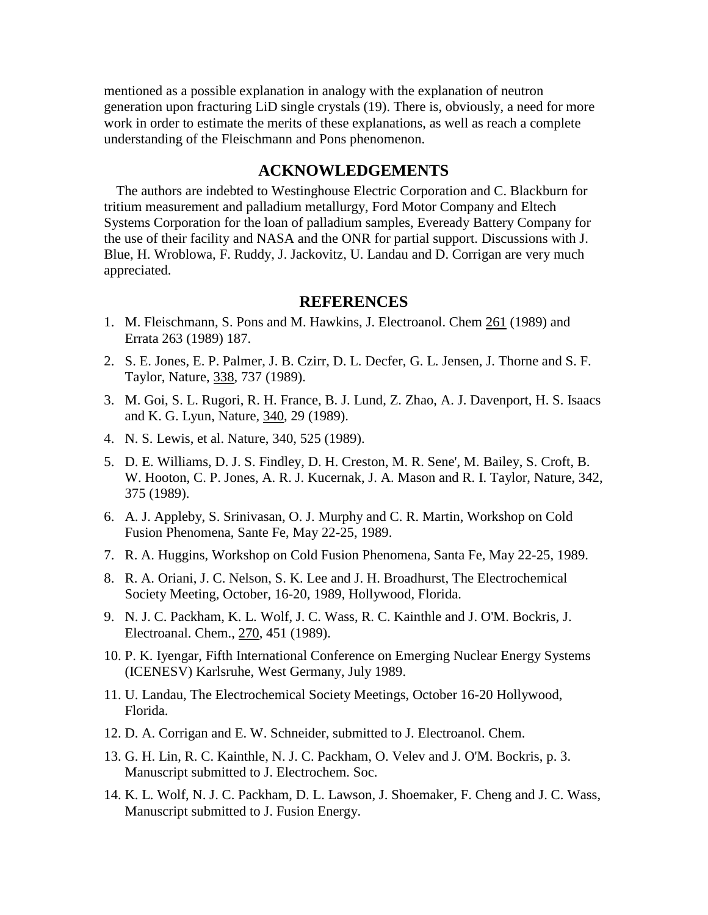mentioned as a possible explanation in analogy with the explanation of neutron generation upon fracturing LiD single crystals (19). There is, obviously, a need for more work in order to estimate the merits of these explanations, as well as reach a complete understanding of the Fleischmann and Pons phenomenon.

# **ACKNOWLEDGEMENTS**

The authors are indebted to Westinghouse Electric Corporation and C. Blackburn for tritium measurement and palladium metallurgy, Ford Motor Company and Eltech Systems Corporation for the loan of palladium samples, Eveready Battery Company for the use of their facility and NASA and the ONR for partial support. Discussions with J. Blue, H. Wroblowa, F. Ruddy, J. Jackovitz, U. Landau and D. Corrigan are very much appreciated.

#### **REFERENCES**

- 1. M. Fleischmann, S. Pons and M. Hawkins, J. Electroanol. Chem 261 (1989) and Errata 263 (1989) 187.
- 2. S. E. Jones, E. P. Palmer, J. B. Czirr, D. L. Decfer, G. L. Jensen, J. Thorne and S. F. Taylor, Nature, 338, 737 (1989).
- 3. M. Goi, S. L. Rugori, R. H. France, B. J. Lund, Z. Zhao, A. J. Davenport, H. S. Isaacs and K. G. Lyun, Nature, 340, 29 (1989).
- 4. N. S. Lewis, et al. Nature, 340, 525 (1989).
- 5. D. E. Williams, D. J. S. Findley, D. H. Creston, M. R. Sene', M. Bailey, S. Croft, B. W. Hooton, C. P. Jones, A. R. J. Kucernak, J. A. Mason and R. I. Taylor, Nature, 342, 375 (1989).
- 6. A. J. Appleby, S. Srinivasan, O. J. Murphy and C. R. Martin, Workshop on Cold Fusion Phenomena, Sante Fe, May 22-25, 1989.
- 7. R. A. Huggins, Workshop on Cold Fusion Phenomena, Santa Fe, May 22-25, 1989.
- 8. R. A. Oriani, J. C. Nelson, S. K. Lee and J. H. Broadhurst, The Electrochemical Society Meeting, October, 16-20, 1989, Hollywood, Florida.
- 9. N. J. C. Packham, K. L. Wolf, J. C. Wass, R. C. Kainthle and J. O'M. Bockris, J. Electroanal. Chem., 270, 451 (1989).
- 10. P. K. Iyengar, Fifth International Conference on Emerging Nuclear Energy Systems (ICENESV) Karlsruhe, West Germany, July 1989.
- 11. U. Landau, The Electrochemical Society Meetings, October 16-20 Hollywood, Florida.
- 12. D. A. Corrigan and E. W. Schneider, submitted to J. Electroanol. Chem.
- 13. G. H. Lin, R. C. Kainthle, N. J. C. Packham, O. Velev and J. O'M. Bockris, p. 3. Manuscript submitted to J. Electrochem. Soc.
- 14. K. L. Wolf, N. J. C. Packham, D. L. Lawson, J. Shoemaker, F. Cheng and J. C. Wass, Manuscript submitted to J. Fusion Energy.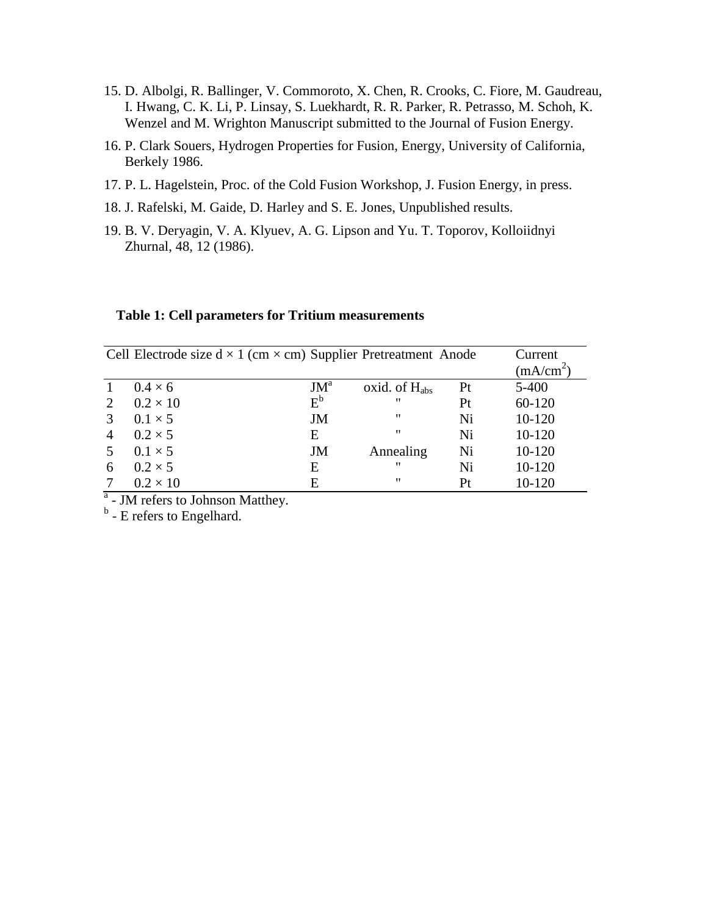- 15. D. Albolgi, R. Ballinger, V. Commoroto, X. Chen, R. Crooks, C. Fiore, M. Gaudreau, I. Hwang, C. K. Li, P. Linsay, S. Luekhardt, R. R. Parker, R. Petrasso, M. Schoh, K. Wenzel and M. Wrighton Manuscript submitted to the Journal of Fusion Energy.
- 16. P. Clark Souers, Hydrogen Properties for Fusion, Energy, University of California, Berkely 1986.
- 17. P. L. Hagelstein, Proc. of the Cold Fusion Workshop, J. Fusion Energy, in press.
- 18. J. Rafelski, M. Gaide, D. Harley and S. E. Jones, Unpublished results.
- 19. B. V. Deryagin, V. A. Klyuev, A. G. Lipson and Yu. T. Toporov, Kolloiidnyi Zhurnal, 48, 12 (1986).

#### **Table 1: Cell parameters for Tritium measurements**

|                | Cell Electrode size $d \times 1$ (cm $\times$ cm) Supplier Pretreatment Anode |        |                    |    | Current     |
|----------------|-------------------------------------------------------------------------------|--------|--------------------|----|-------------|
|                |                                                                               |        |                    |    | $(mA/cm^2)$ |
|                | $0.4 \times 6$                                                                | $JM^a$ | oxid. of $H_{abs}$ | Pt | $5 - 400$   |
| 2              | $0.2 \times 10$                                                               | $E^b$  | $^{\prime\prime}$  | Pt | 60-120      |
| 3              | $0.1 \times 5$                                                                | JM     | "                  | Ni | 10-120      |
| $\overline{4}$ | $0.2 \times 5$                                                                | Е      | $^{\prime\prime}$  | Ni | 10-120      |
| .5             | $0.1 \times 5$                                                                | JM     | Annealing          | Ni | 10-120      |
| 6              | $0.2 \times 5$                                                                | E      | $^{\prime\prime}$  | Ni | 10-120      |
|                | $0.2 \times 10$                                                               | E      | "                  | Pt | 10-120      |

<sup>a</sup> - JM refers to Johnson Matthey.

<sup>b</sup> - E refers to Engelhard.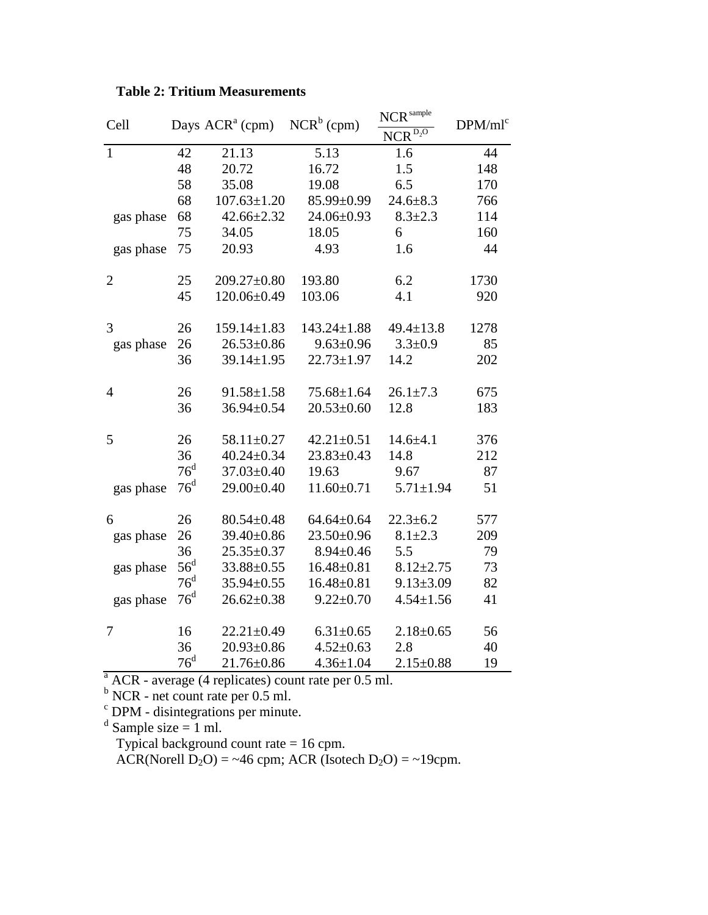| Cell           | Days $ACR^a$ (cpm) | $NCR^b$ (cpm)     | NCR sample        | DPM/ml <sup>c</sup>     |      |  |
|----------------|--------------------|-------------------|-------------------|-------------------------|------|--|
|                |                    |                   |                   | $NCR^{\overline{D_2O}}$ |      |  |
| $\mathbf{1}$   | 42                 | 21.13             | 5.13              | 1.6                     | 44   |  |
|                | 48                 | 20.72             | 16.72             | 1.5                     | 148  |  |
|                | 58                 | 35.08             | 19.08             | 6.5                     | 170  |  |
|                | 68                 | $107.63 \pm 1.20$ | 85.99±0.99        | $24.6 \pm 8.3$          | 766  |  |
| gas phase      | 68                 | $42.66 \pm 2.32$  | 24.06±0.93        | $8.3 \pm 2.3$           | 114  |  |
|                | 75                 | 34.05             | 18.05             | 6                       | 160  |  |
| gas phase      | 75                 | 20.93             | 4.93              | 1.6                     | 44   |  |
| $\overline{2}$ | 25                 | 209.27±0.80       | 193.80            | 6.2                     | 1730 |  |
|                | 45                 | 120.06±0.49       | 103.06            | 4.1                     | 920  |  |
| 3              | 26                 | $159.14 \pm 1.83$ | $143.24 \pm 1.88$ | $49.4 \pm 13.8$         | 1278 |  |
| gas phase      | 26                 | $26.53 \pm 0.86$  | $9.63 \pm 0.96$   | $3.3 \pm 0.9$           | 85   |  |
|                | 36                 | $39.14 \pm 1.95$  | $22.73 \pm 1.97$  | 14.2                    | 202  |  |
| $\overline{4}$ | 26                 | $91.58 \pm 1.58$  | $75.68 \pm 1.64$  | $26.1 \pm 7.3$          | 675  |  |
|                | 36                 | 36.94±0.54        | $20.53 \pm 0.60$  | 12.8                    | 183  |  |
| 5              | 26                 | 58.11±0.27        | $42.21 \pm 0.51$  | $14.6 + 4.1$            | 376  |  |
|                | 36                 | $40.24 \pm 0.34$  | $23.83 \pm 0.43$  | 14.8                    | 212  |  |
|                | 76 <sup>d</sup>    | 37.03±0.40        | 19.63             | 9.67                    | 87   |  |
| gas phase      | 76 <sup>d</sup>    | 29.00±0.40        | $11.60 \pm 0.71$  | $5.71 \pm 1.94$         | 51   |  |
| 6              | 26                 | $80.54 \pm 0.48$  | $64.64 \pm 0.64$  | $22.3 \pm 6.2$          | 577  |  |
| gas phase      | 26                 | 39.40±0.86        | $23.50 \pm 0.96$  | $8.1 \pm 2.3$           | 209  |  |
|                | 36                 | $25.35 \pm 0.37$  | $8.94 \pm 0.46$   | 5.5                     | 79   |  |
| gas phase      | $56^{\rm d}$       | 33.88±0.55        | $16.48 \pm 0.81$  | $8.12 \pm 2.75$         | 73   |  |
|                | $76^{\rm d}$       | 35.94±0.55        | $16.48 \pm 0.81$  | $9.13 \pm 3.09$         | 82   |  |
| gas phase      | $76^{\rm d}$       | $26.62 \pm 0.38$  | $9.22 \pm 0.70$   | $4.54 \pm 1.56$         | 41   |  |
| 7              | 16                 | $22.21 \pm 0.49$  | $6.31 \pm 0.65$   | $2.18 \pm 0.65$         | 56   |  |
|                | 36                 | $20.93 \pm 0.86$  | $4.52 \pm 0.63$   | 2.8                     | 40   |  |
|                | $76^{\rm d}$       | $21.76 \pm 0.86$  | $4.36 \pm 1.04$   | $2.15 \pm 0.88$         | 19   |  |

# **Table 2: Tritium Measurements**

 $A^a$  ACR - average (4 replicates) count rate per 0.5 ml.

 $<sup>b</sup> NCR$  - net count rate per 0.5 ml.</sup>

<sup>c</sup> DPM - disintegrations per minute.<br>d Sample size = 1 ml.

Typical background count rate = 16 cpm.

ACR(Norell  $D_2O$ ) = ~46 cpm; ACR (Isotech  $D_2O$ ) = ~19cpm.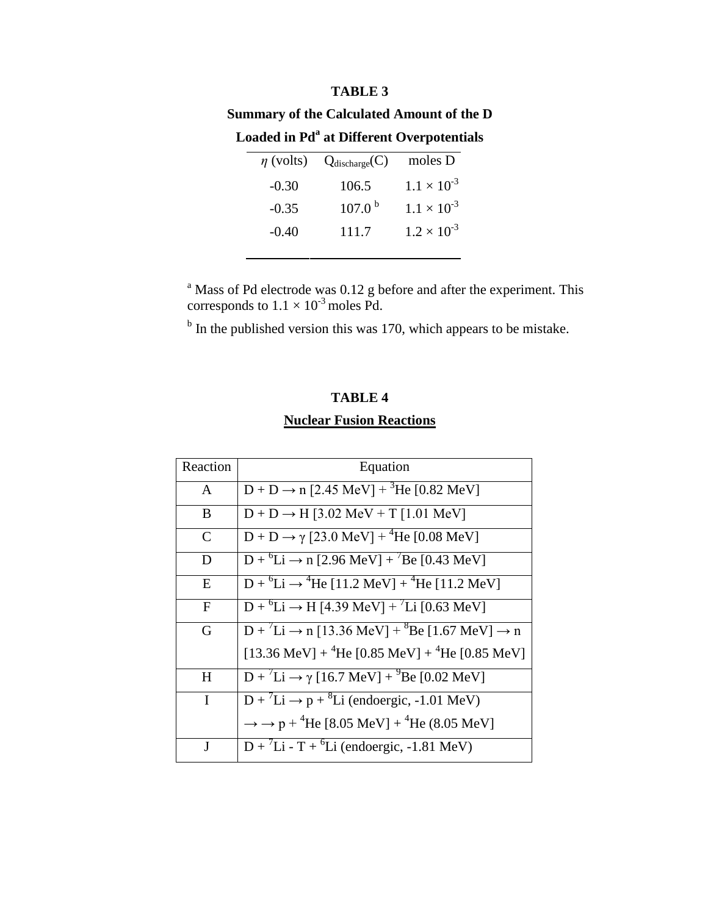#### **TABLE 3**

| <b>Summary of the Calculated Amount of the D</b> |  |                                                       |         |  |
|--------------------------------------------------|--|-------------------------------------------------------|---------|--|
|                                                  |  | Loaded in Pd <sup>a</sup> at Different Overpotentials |         |  |
|                                                  |  | $\eta$ (volts) $Q_{discharge}(C)$                     | moles D |  |

| $\eta$ (volts) | $\mathsf{Q}$ discharge $\mathsf{U}$ | $\mu$ moles $\mu$    |
|----------------|-------------------------------------|----------------------|
| $-0.30$        | 106.5                               | $1.1 \times 10^{-3}$ |
| $-0.35$        | 107.0 <sup>b</sup>                  | $1.1 \times 10^{-3}$ |
| $-0.40$        | 111.7                               | $1.2 \times 10^{-3}$ |
|                |                                     |                      |

 $a<sup>a</sup>$  Mass of Pd electrode was 0.12 g before and after the experiment. This corresponds to  $1.1 \times 10^{-3}$  moles Pd.

 $b$  In the published version this was 170, which appears to be mistake.

# **TABLE 4 Nuclear Fusion Reactions**

| Reaction      | Equation                                                                                     |  |
|---------------|----------------------------------------------------------------------------------------------|--|
| $\mathbf{A}$  | $D + D \rightarrow n$ [2.45 MeV] + <sup>3</sup> He [0.82 MeV]                                |  |
| B             | $D + D \rightarrow H$ [3.02 MeV + T [1.01 MeV]                                               |  |
| $\mathcal{C}$ | $D + D \rightarrow \gamma$ [23.0 MeV] + <sup>4</sup> He [0.08 MeV]                           |  |
| D             | $D + {}^{6}Li \rightarrow n$ [2.96 MeV] + <sup>7</sup> Be [0.43 MeV]                         |  |
| E             | $D + {}^{6}Li \rightarrow {}^{4}He$ [11.2 MeV] + ${}^{4}He$ [11.2 MeV]                       |  |
| $\mathbf{F}$  | $D + {}^{6}Li \rightarrow H$ [4.39 MeV] + <sup>7</sup> Li [0.63 MeV]                         |  |
| G             | $D + {}^{7}Li \rightarrow n [13.36 \text{ MeV}] + {}^{8}Be [1.67 \text{ MeV}] \rightarrow n$ |  |
|               | [13.36 MeV] + $^{4}$ He [0.85 MeV] + $^{4}$ He [0.85 MeV]                                    |  |
| H             | $D + {}^{7}Li \rightarrow \gamma$ [16.7 MeV] + ${}^{9}Be$ [0.02 MeV]                         |  |
| $\mathbf I$   | $D + {}^{7}Li \rightarrow p + {}^{8}Li$ (endoergic, -1.01 MeV)                               |  |
|               | $\rightarrow$ $\rightarrow$ p + <sup>4</sup> He [8.05 MeV] + <sup>4</sup> He (8.05 MeV]      |  |
| J             | $D + {}^{7}Li - T + {}^{6}Li$ (endoergic, -1.81 MeV)                                         |  |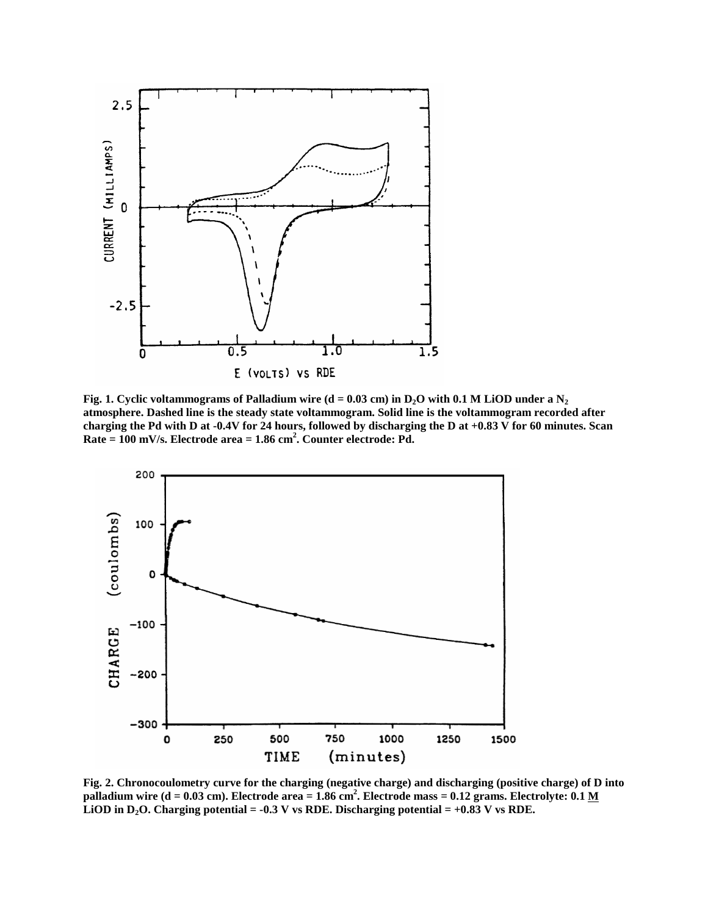

**Fig. 1.** Cyclic voltammograms of Palladium wire  $(d = 0.03$  cm) in  $D_2O$  with 0.1 M LiOD under a  $N_2$ **atmosphere. Dashed line is the steady state voltammogram. Solid line is the voltammogram recorded after charging the Pd with D at -0.4V for 24 hours, followed by discharging the D at +0.83 V for 60 minutes. Scan Rate = 100 mV/s. Electrode area = 1.86 cm<sup>2</sup> . Counter electrode: Pd.**



**Fig. 2. Chronocoulometry curve for the charging (negative charge) and discharging (positive charge) of D into palladium wire (d = 0.03 cm). Electrode area = 1.86 cm<sup>2</sup> . Electrode mass = 0.12 grams. Electrolyte: 0.1 M LiOD in D<sub>2</sub>O. Charging potential =**  $-0.3$  **V vs RDE. Discharging potential =**  $+0.83$  **V vs RDE.**